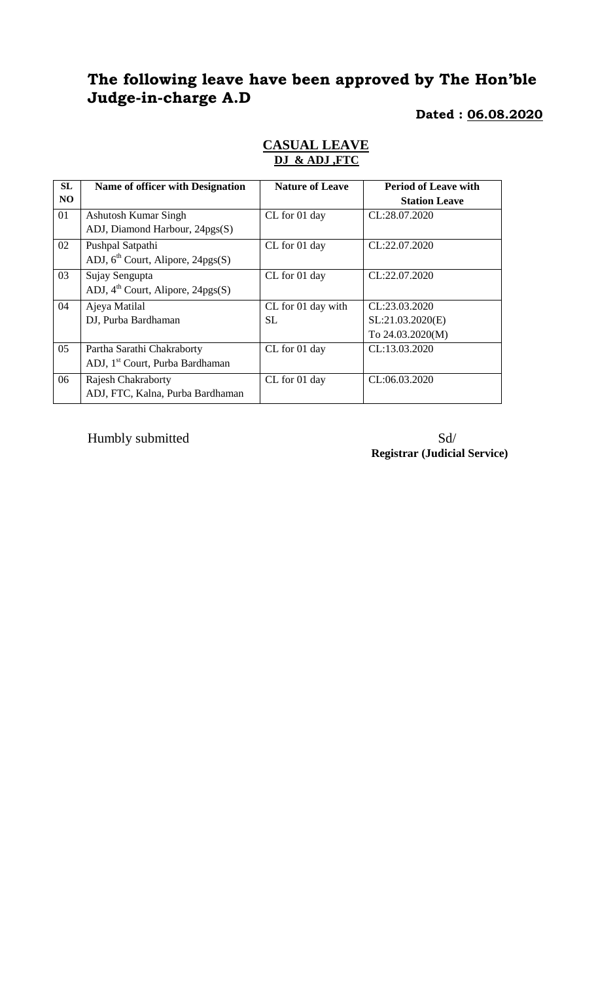# **The following leave have been approved by The Hon'ble Judge-in-charge A.D**

### **Dated : 06.08.2020**

| <b>SL</b>      | <b>Name of officer with Designation</b>     | <b>Nature of Leave</b> | <b>Period of Leave with</b> |
|----------------|---------------------------------------------|------------------------|-----------------------------|
| N <sub>O</sub> |                                             |                        | <b>Station Leave</b>        |
| 01             | Ashutosh Kumar Singh                        | CL for 01 day          | CL:28.07.2020               |
|                | ADJ, Diamond Harbour, 24pgs(S)              |                        |                             |
| 02             | Pushpal Satpathi                            | CL for 01 day          | CL:22.07.2020               |
|                | ADJ, $6th$ Court, Alipore, 24pgs(S)         |                        |                             |
| 03             | Sujay Sengupta                              | CL for 01 day          | CL:22.07.2020               |
|                | ADJ, $4th$ Court, Alipore, 24pgs(S)         |                        |                             |
| 04             | Ajeya Matilal                               | CL for 01 day with     | CL:23.03.2020               |
|                | DJ, Purba Bardhaman                         | <b>SL</b>              | SL:21.03.2020(E)            |
|                |                                             |                        | To 24.03.2020(M)            |
| 05             | Partha Sarathi Chakraborty                  | CL for 01 day          | CL:13.03.2020               |
|                | ADJ, 1 <sup>st</sup> Court, Purba Bardhaman |                        |                             |
| 06             | <b>Rajesh Chakraborty</b>                   | CL for 01 day          | CL:06.03.2020               |
|                | ADJ, FTC, Kalna, Purba Bardhaman            |                        |                             |

## **CASUAL LEAVE DJ & ADJ ,FTC**

Humbly submitted Sd/

**Registrar (Judicial Service)**